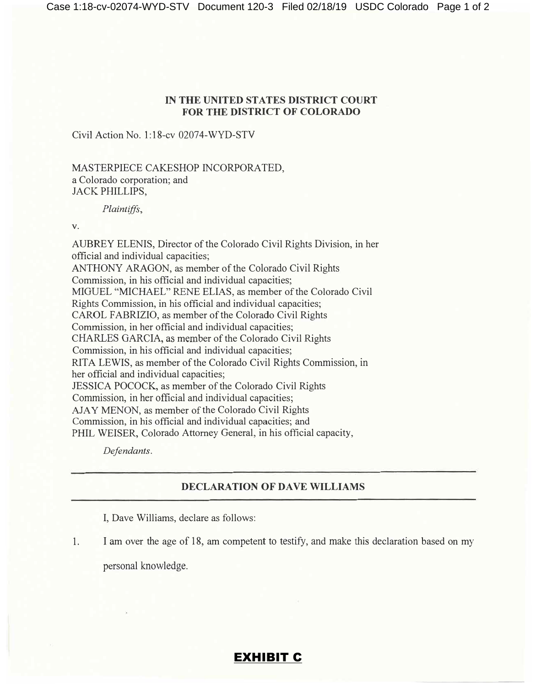## IN **THE UNITED STATES DISTRICT COURT FOR THE DISTRICT OF COLORADO**

Civil Action No. 1:18-cv 02074-WYD-STV

MASTERPIECE CAKESHOP INCORPORATED, a Colorado corporation; and JACK PHILLIPS,

*Plaintiffs,* 

V.

AUBREY ELENIS, Director of the Colorado Civil Rights Division, in her official and individual capacities; ANTHONY ARAGON, as member of the Colorado Civil Rights Commission, in his official and individual capacities; MIGUEL "MICHAEL" RENE ELIAS, as member of the Colorado Civil Rights Commission, in his official and individual capacities; CAROL FABRIZIO, as member of the Colorado Civil Rights Commission, in her official and individual capacities; CHARLES GARCIA, as member of the Colorado Civil Rights Commission, in his official and individual capacities; RITA LEWIS, as member of the Colorado Civil Rights Commission, in her official and individual capacities; JESSICA POCOCK, as member of the Colorado Civil Rights Commission, in her official and individual capacities; AJAY MENON, as member of the Colorado Civil Rights Commission, in his official and individual capacities; and PHIL WEISER, Colorado Attorney General, in his official capacity,

*Defendants.* 

## **DECLARATION OF DAVE WILLIAMS**

I, Dave Williams, declare as follows:

1. I am over the age of 18, am competent to testify, and make this declaration based on my

personal knowledge.

## EXHIBIT C